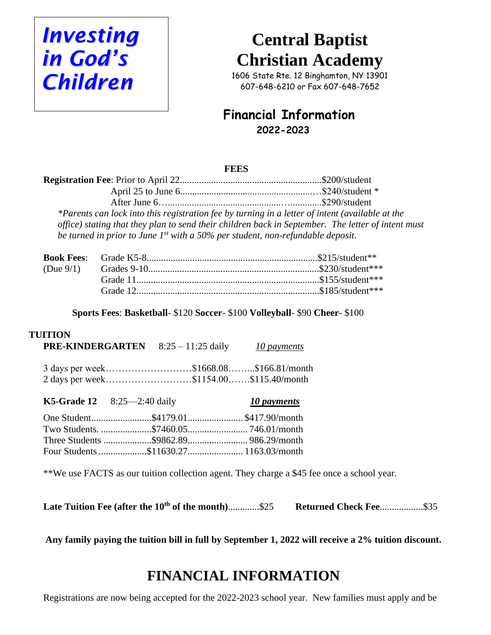

# **Central Baptist Christian Academy**

1606 State Rte. 12 Binghamton, NY 13901 607-648-6210 or Fax 607-648-7652

### **Financial Information 2022-2023**

#### **FEES**

| *Parents can lock into this registration fee by turning in a letter of intent (available at the    |  |
|----------------------------------------------------------------------------------------------------|--|
| office) stating that they plan to send their children back in September. The letter of intent must |  |
| be turned in prior to June $1^{st}$ with a 50% per student, non-refundable deposit.                |  |

**Sports Fees**: **Basketball**- \$120 **Soccer**- \$100 **Volleyball**- \$90 **Cheer**- \$100

#### **TUITION**

| <b>PRE-KINDERGARTEN</b> $8:25-11:25$ daily                                       | 10 payments |
|----------------------------------------------------------------------------------|-------------|
| 3 days per week\$1668.08\$166.81/month<br>2 days per week\$1154.00\$115.40/month |             |

| <b>K5-Grade 12</b> $8:25-2:40$ daily | 10 payments |
|--------------------------------------|-------------|
|                                      |             |
|                                      |             |
|                                      |             |
|                                      |             |

\*\*We use FACTS as our tuition collection agent. They charge a \$45 fee once a school year.

Late Tuition Fee (after the 10<sup>th</sup> of the month).............\$25 **Returned Check Fee..................**\$35

**Any family paying the tuition bill in full by September 1, 2022 will receive a 2% tuition discount.**

## **FINANCIAL INFORMATION**

Registrations are now being accepted for the 2022-2023 school year. New families must apply and be